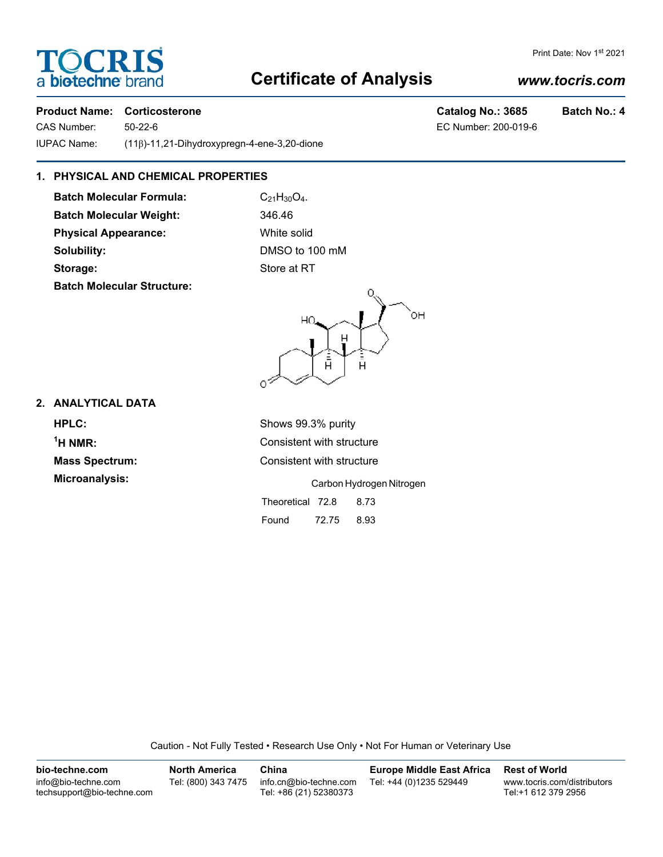# **TOCRIS** a biotechne b

## **Certificate of Analysis**

### *www.tocris.com*

Print Date: Nov 1st 2021

### **Product Name: Corticosterone Catalog No.: 3685 Batch No.: 4**

CAS Number: 50-22-6 EC Number: 200-019-6 IUPAC Name: (11β)-11,21-Dihydroxypregn-4-ene-3,20-dione

### **1. PHYSICAL AND CHEMICAL PROPERTIES**

**Batch Molecular Formula:** C<sub>21</sub>H<sub>30</sub>O<sub>4</sub>. **Batch Molecular Weight:** 346.46 **Physical Appearance:** White solid **Solubility:** DMSO to 100 mM **Storage:** Store at RT **Batch Molecular Structure:**



### **2. ANALYTICAL DATA**

**HPLC:** Shows 99.3% purity **1**

**Consistent with structure Mass Spectrum:** Consistent with structure

**Microanalysis:** Carbon Hydrogen Nitrogen

Theoretical 72.8 8.73 Found 72.75 8.93

Caution - Not Fully Tested • Research Use Only • Not For Human or Veterinary Use

| bio-techne.com                                    | <b>North America</b> | China                                            | <b>Europe Middle East Africa</b> | <b>Rest of World</b>                               |
|---------------------------------------------------|----------------------|--------------------------------------------------|----------------------------------|----------------------------------------------------|
| info@bio-techne.com<br>techsupport@bio-techne.com | Tel: (800) 343 7475  | info.cn@bio-techne.com<br>Tel: +86 (21) 52380373 | Tel: +44 (0)1235 529449          | www.tocris.com/distributors<br>Tel:+1 612 379 2956 |